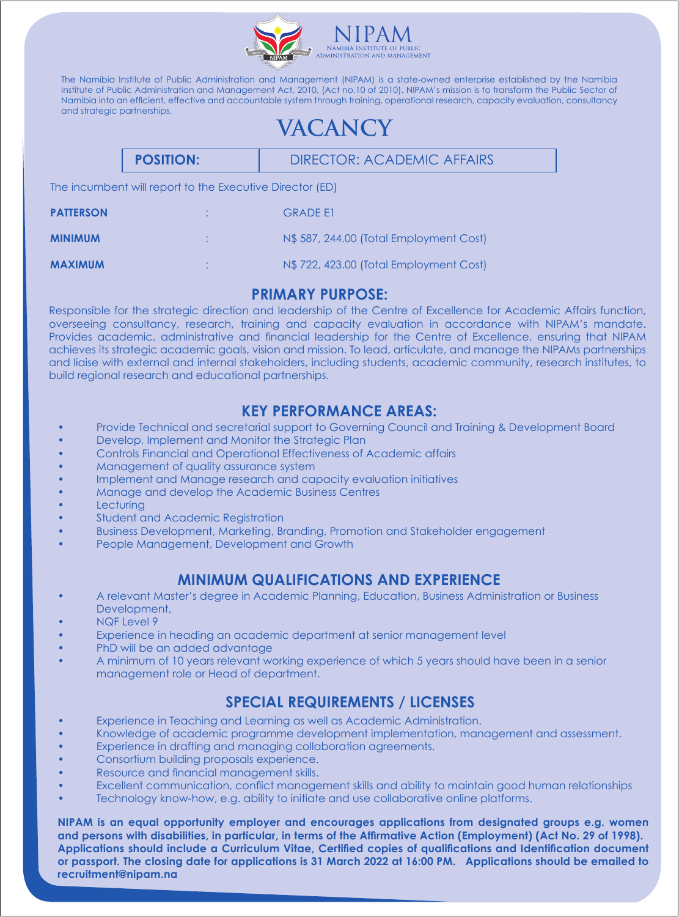

The Namibia Institute of Public Administration and Management (NIPAM) is a state-owned enterprise established by the Namibia Institute of Public Administration and Management Act, 2010, (Act no.10 of 2010). NIPAM's mission is to transform the Public Sector of Namibia into an efficient, effective and accountable system through training, operational research, capacity evaluation, consultancy and strategic partnerships.

# **VACANCY**

|                                                          | <b>POSITION:</b> | <b>DIRECTOR: ACADEMIC AFFAIRS</b>       |  |
|----------------------------------------------------------|------------------|-----------------------------------------|--|
| The incumbent will report to the Executive Director (ED) |                  |                                         |  |
| <b>PATTERSON</b>                                         |                  | <b>GRADE F1</b>                         |  |
| <b>MINIMUM</b>                                           | ٠                | N\$ 587, 244,00 (Total Employment Cost) |  |
| <b>MAXIMUM</b>                                           |                  | N\$722, 423.00 (Total Employment Cost)  |  |

#### **PRIMARY PURPOSE:**

Responsible for the strategic direction and leadership of the Centre of Excellence for Academic Affairs function, overseeing consultancy, research, training and capacity evaluation in accordance with NIPAM's mandate. Provides academic, administrative and financial leadership for the Centre of Excellence, ensuring that NIPAM achieves its strategic academic goals, vision and mission. To lead, articulate, and manage the NIPAMs partnerships and liaise with external and internal stakeholders, including students, academic community, research institutes, to build regional research and educational partnerships.

#### **KEY PERFORMANCE AREAS:**

- Provide Technical and secretarial support to Governing Council and Training & Development Board
- Develop, Implement and Monitor the Strategic Plan
- Controls Financial and Operational Effectiveness of Academic affairs
- Management of quality assurance system
- Implement and Manage research and capacity evaluation initiatives
- Manage and develop the Academic Business Centres
- **Lecturing**
- Student and Academic Registration
- Business Development, Marketing, Branding, Promotion and Stakeholder engagement
- People Management, Development and Growth

#### **MINIMUM QUALIFICATIONS AND EXPERIENCE**

- A relevant Master's degree in Academic Planning, Education, Business Administration or Business Development
- NQF Level 9
- Experience in heading an academic department at senior management level
- PhD will be an added advantage
- A minimum of 10 years relevant working experience of which 5 years should have been in a senior management role or Head of department.

#### **SPECIAL REQUIREMENTS / LICENSES**

- Experience in Teaching and Learning as well as Academic Administration.
- Knowledge of academic programme development implementation, management and assessment.
- Experience in drafting and managing collaboration agreements.
- Consortium building proposals experience.
- Resource and financial management skills.
- Excellent communication, conflict management skills and ability to maintain good human relationships
- Technology know-how, e.g. ability to initiate and use collaborative online platforms.

**NIPAM is an equal opportunity employer and encourages applications from designated groups e.g. women and persons with disabilities, in particular, in terms of the Affirmative Action (Employment) (Act No. 29 of 1998). Applications should include a Curriculum Vitae, Certified copies of qualifications and Identification document or passport. The closing date for applications is 31 March 2022 at 16:00 PM. Applications should be emailed to recruitment@nipam.na**